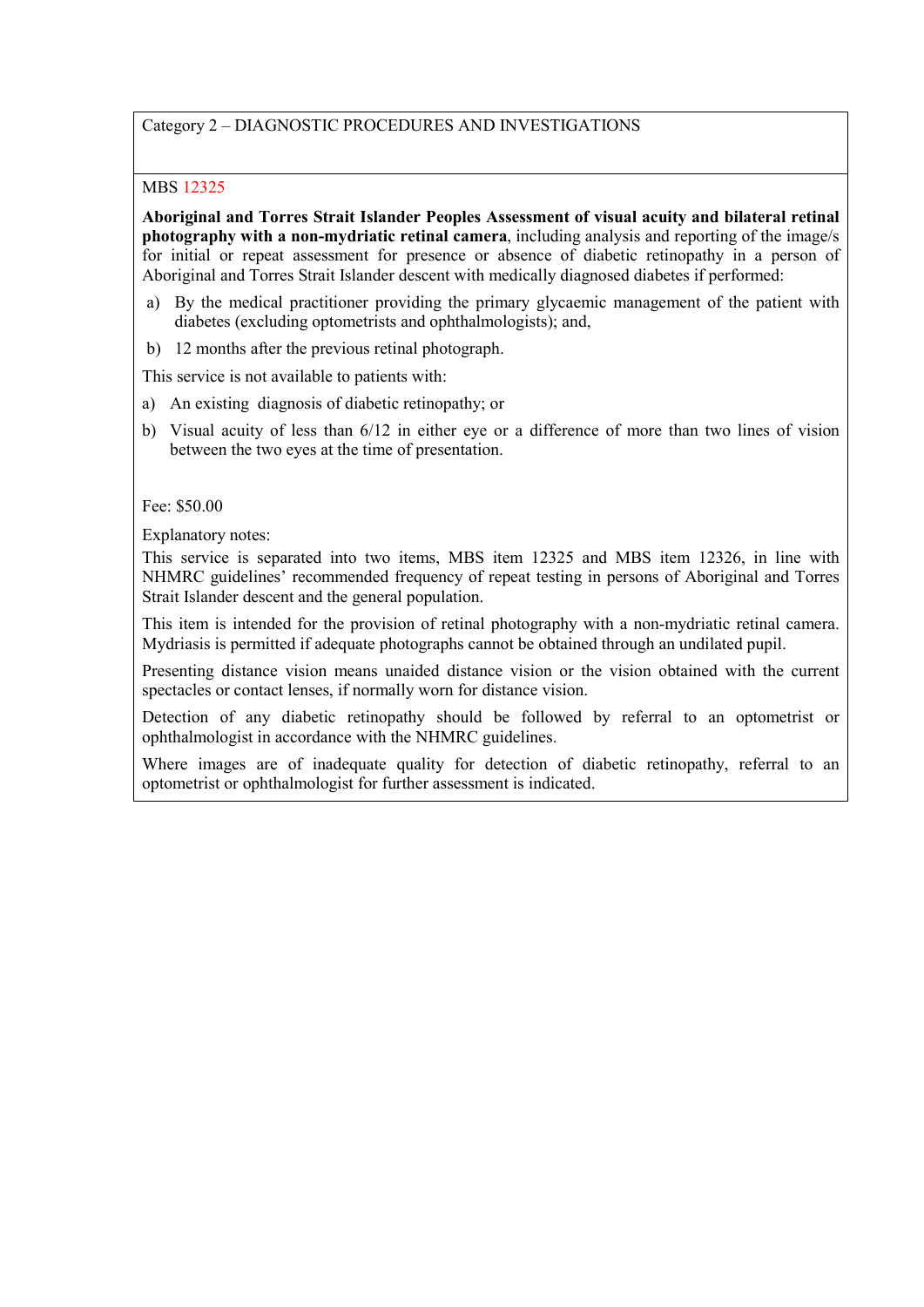## Category 2 – DIAGNOSTIC PROCEDURES AND INVESTIGATIONS

### MBS 12325

**Aboriginal and Torres Strait Islander Peoples Assessment of visual acuity and bilateral retinal photography with a non-mydriatic retinal camera**, including analysis and reporting of the image/s for initial or repeat assessment for presence or absence of diabetic retinopathy in a person of Aboriginal and Torres Strait Islander descent with medically diagnosed diabetes if performed:

- a) By the medical practitioner providing the primary glycaemic management of the patient with diabetes (excluding optometrists and ophthalmologists); and,
- b) 12 months after the previous retinal photograph.

This service is not available to patients with:

- a) An existing diagnosis of diabetic retinopathy; or
- b) Visual acuity of less than 6/12 in either eye or a difference of more than two lines of vision between the two eyes at the time of presentation.

#### Fee: \$50.00

Explanatory notes:

This service is separated into two items, MBS item 12325 and MBS item 12326, in line with NHMRC guidelines' recommended frequency of repeat testing in persons of Aboriginal and Torres Strait Islander descent and the general population.

This item is intended for the provision of retinal photography with a non-mydriatic retinal camera. Mydriasis is permitted if adequate photographs cannot be obtained through an undilated pupil.

Presenting distance vision means unaided distance vision or the vision obtained with the current spectacles or contact lenses, if normally worn for distance vision.

Detection of any diabetic retinopathy should be followed by referral to an optometrist or ophthalmologist in accordance with the NHMRC guidelines.

Where images are of inadequate quality for detection of diabetic retinopathy, referral to an optometrist or ophthalmologist for further assessment is indicated.